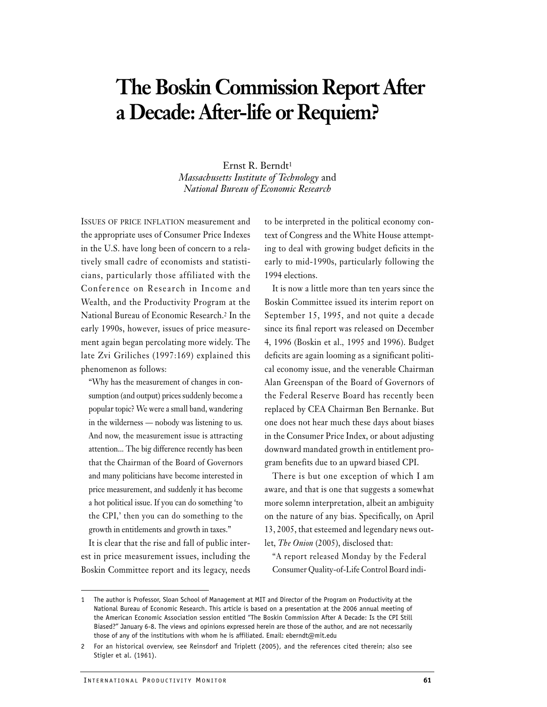# **The Boskin Commission Report After a Decade: After-life or Requiem?**

Ernst R. Berndt1 *Massachusetts Institute of Technology* and *National Bureau of Economic Research*

ISSUES OF PRICE INFLATION measurement and the appropriate uses of Consumer Price Indexes in the U.S. have long been of concern to a relatively small cadre of economists and statisticians, particularly those affiliated with the Conference on Research in Income and Wealth, and the Productivity Program at the National Bureau of Economic Research.2 In the early 1990s, however, issues of price measurement again began percolating more widely. The late Zvi Griliches (1997:169) explained this phenomenon as follows:

"Why has the measurement of changes in consumption (and output) prices suddenly become a popular topic? We were a small band, wandering in the wilderness — nobody was listening to us. And now, the measurement issue is attracting attention... The big difference recently has been that the Chairman of the Board of Governors and many politicians have become interested in price measurement, and suddenly it has become a hot political issue. If you can do something 'to the CPI,' then you can do something to the growth in entitlements and growth in taxes."

It is clear that the rise and fall of public interest in price measurement issues, including the Boskin Committee report and its legacy, needs to be interpreted in the political economy context of Congress and the White House attempting to deal with growing budget deficits in the early to mid-1990s, particularly following the 1994 elections.

It is now a little more than ten years since the Boskin Committee issued its interim report on September 15, 1995, and not quite a decade since its final report was released on December 4, 1996 (Boskin et al.*,* 1995 and 1996). Budget deficits are again looming as a significant political economy issue, and the venerable Chairman Alan Greenspan of the Board of Governors of the Federal Reserve Board has recently been replaced by CEA Chairman Ben Bernanke. But one does not hear much these days about biases in the Consumer Price Index, or about adjusting downward mandated growth in entitlement program benefits due to an upward biased CPI.

There is but one exception of which I am aware, and that is one that suggests a somewhat more solemn interpretation, albeit an ambiguity on the nature of any bias. Specifically, on April 13, 2005, that esteemed and legendary news outlet, *The Onion* (2005), disclosed that:

"A report released Monday by the Federal Consumer Quality-of-Life Control Board indi-

<sup>1</sup> The author is Professor, Sloan School of Management at MIT and Director of the Program on Productivity at the National Bureau of Economic Research. This article is based on a presentation at the 2006 annual meeting of the American Economic Association session entitled "The Boskin Commission After A Decade: Is the CPI Still Biased?" January 6-8. The views and opinions expressed herein are those of the author, and are not necessarily those of any of the institutions with whom he is affiliated. Email: eberndt@mit.edu

<sup>2</sup> For an historical overview, see Reinsdorf and Triplett (2005), and the references cited therein; also see Stigler et al. (1961).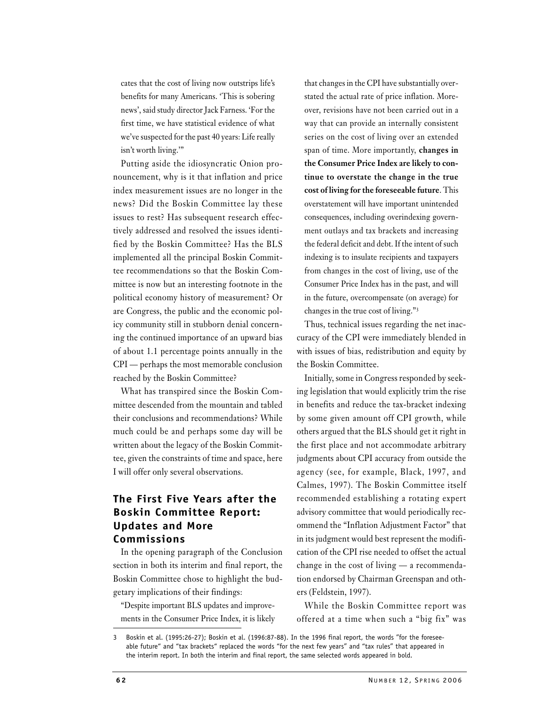cates that the cost of living now outstrips life's benefits for many Americans. 'This is sobering news', said study director Jack Farness. 'For the first time, we have statistical evidence of what we've suspected for the past 40 years: Life really isn't worth living.'"

Putting aside the idiosyncratic Onion pronouncement, why is it that inflation and price index measurement issues are no longer in the news? Did the Boskin Committee lay these issues to rest? Has subsequent research effectively addressed and resolved the issues identified by the Boskin Committee? Has the BLS implemented all the principal Boskin Committee recommendations so that the Boskin Committee is now but an interesting footnote in the political economy history of measurement? Or are Congress, the public and the economic policy community still in stubborn denial concerning the continued importance of an upward bias of about 1.1 percentage points annually in the CPI — perhaps the most memorable conclusion reached by the Boskin Committee?

What has transpired since the Boskin Committee descended from the mountain and tabled their conclusions and recommendations? While much could be and perhaps some day will be written about the legacy of the Boskin Committee, given the constraints of time and space, here I will offer only several observations.

## **The First Five Years after the Boskin Committee Report: Updates and More Commissions**

In the opening paragraph of the Conclusion section in both its interim and final report, the Boskin Committee chose to highlight the budgetary implications of their findings:

"Despite important BLS updates and improvements in the Consumer Price Index, it is likely that changes in the CPI have substantially overstated the actual rate of price inflation. Moreover, revisions have not been carried out in a way that can provide an internally consistent series on the cost of living over an extended span of time. More importantly, **changes in the Consumer Price Index are likely to continue to overstate the change in the true cost of living for the foreseeable future**. This overstatement will have important unintended consequences, including overindexing government outlays and tax brackets and increasing the federal deficit and debt. If the intent of such indexing is to insulate recipients and taxpayers from changes in the cost of living, use of the Consumer Price Index has in the past, and will in the future, overcompensate (on average) for changes in the true cost of living."3

Thus, technical issues regarding the net inaccuracy of the CPI were immediately blended in with issues of bias, redistribution and equity by the Boskin Committee.

Initially, some in Congress responded by seeking legislation that would explicitly trim the rise in benefits and reduce the tax-bracket indexing by some given amount off CPI growth, while others argued that the BLS should get it right in the first place and not accommodate arbitrary judgments about CPI accuracy from outside the agency (see, for example, Black, 1997, and Calmes, 1997). The Boskin Committee itself recommended establishing a rotating expert advisory committee that would periodically recommend the "Inflation Adjustment Factor" that in its judgment would best represent the modification of the CPI rise needed to offset the actual change in the cost of living — a recommendation endorsed by Chairman Greenspan and others (Feldstein, 1997).

While the Boskin Committee report was offered at a time when such a "big fix" was

<sup>3</sup> Boskin et al. (1995:26-27); Boskin et al. (1996:87-88). In the 1996 final report, the words "for the foreseeable future" and "tax brackets" replaced the words "for the next few years" and "tax rules" that appeared in the interim report. In both the interim and final report, the same selected words appeared in bold.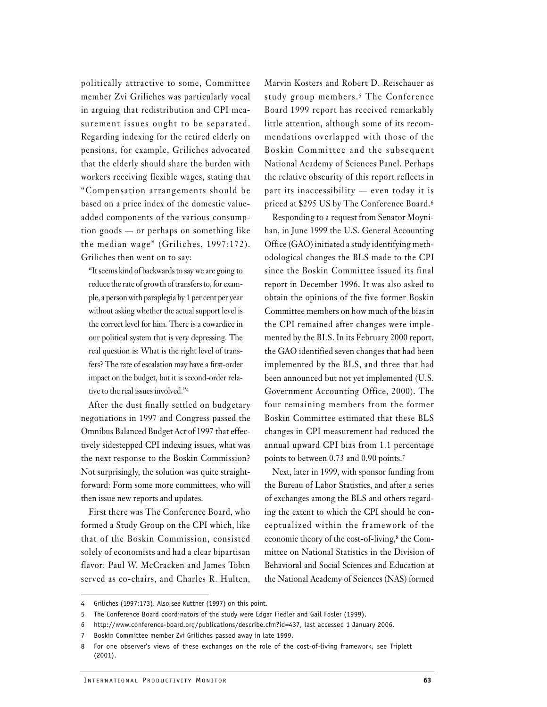politically attractive to some, Committee member Zvi Griliches was particularly vocal in arguing that redistribution and CPI measurement issues ought to be separated. Regarding indexing for the retired elderly on pensions, for example, Griliches advocated that the elderly should share the burden with workers receiving flexible wages, stating that "Compensation arrangements should be based on a price index of the domestic valueadded components of the various consumption goods — or perhaps on something like the median wage" (Griliches, 1997:172). Griliches then went on to say:

"It seems kind of backwards to say we are going to reduce the rate of growth of transfers to, for example, a person with paraplegia by 1 per cent per year without asking whether the actual support level is the correct level for him. There is a cowardice in our political system that is very depressing. The real question is: What is the right level of transfers? The rate of escalation may have a first-order impact on the budget, but it is second-order relative to the real issues involved."4

After the dust finally settled on budgetary negotiations in 1997 and Congress passed the Omnibus Balanced Budget Act of 1997 that effectively sidestepped CPI indexing issues, what was the next response to the Boskin Commission? Not surprisingly, the solution was quite straightforward: Form some more committees, who will then issue new reports and updates.

First there was The Conference Board, who formed a Study Group on the CPI which, like that of the Boskin Commission, consisted solely of economists and had a clear bipartisan flavor: Paul W. McCracken and James Tobin served as co-chairs, and Charles R. Hulten,

Marvin Kosters and Robert D. Reischauer as study group members.<sup>5</sup> The Conference Board 1999 report has received remarkably little attention, although some of its recommendations overlapped with those of the Boskin Committee and the subsequent National Academy of Sciences Panel. Perhaps the relative obscurity of this report reflects in part its inaccessibility — even today it is priced at \$295 US by The Conference Board.6

Responding to a request from Senator Moynihan, in June 1999 the U.S. General Accounting Office (GAO) initiated a study identifying methodological changes the BLS made to the CPI since the Boskin Committee issued its final report in December 1996. It was also asked to obtain the opinions of the five former Boskin Committee members on how much of the bias in the CPI remained after changes were implemented by the BLS. In its February 2000 report, the GAO identified seven changes that had been implemented by the BLS, and three that had been announced but not yet implemented (U.S. Government Accounting Office, 2000). The four remaining members from the former Boskin Committee estimated that these BLS changes in CPI measurement had reduced the annual upward CPI bias from 1.1 percentage points to between 0.73 and 0.90 points.7

Next, later in 1999, with sponsor funding from the Bureau of Labor Statistics, and after a series of exchanges among the BLS and others regarding the extent to which the CPI should be conceptualized within the framework of the economic theory of the cost-of-living,8 the Committee on National Statistics in the Division of Behavioral and Social Sciences and Education at the National Academy of Sciences (NAS) formed

<sup>4</sup> Griliches (1997:173). Also see Kuttner (1997) on this point.

<sup>5</sup> The Conference Board coordinators of the study were Edgar Fiedler and Gail Fosler (1999).

<sup>6</sup> http://www.conference-board.org/publications/describe.cfm?id=437, last accessed 1 January 2006.

<sup>7</sup> Boskin Committee member Zvi Griliches passed away in late 1999.

<sup>8</sup> For one observer's views of these exchanges on the role of the cost-of-living framework, see Triplett (2001).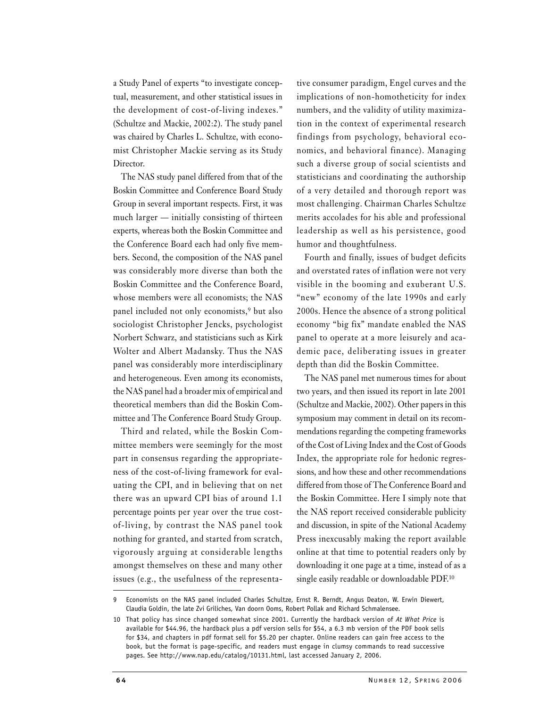a Study Panel of experts "to investigate conceptual, measurement, and other statistical issues in the development of cost-of-living indexes." (Schultze and Mackie, 2002:2). The study panel was chaired by Charles L. Schultze, with economist Christopher Mackie serving as its Study Director.

The NAS study panel differed from that of the Boskin Committee and Conference Board Study Group in several important respects. First, it was much larger — initially consisting of thirteen experts, whereas both the Boskin Committee and the Conference Board each had only five members. Second, the composition of the NAS panel was considerably more diverse than both the Boskin Committee and the Conference Board, whose members were all economists; the NAS panel included not only economists,9 but also sociologist Christopher Jencks, psychologist Norbert Schwarz, and statisticians such as Kirk Wolter and Albert Madansky. Thus the NAS panel was considerably more interdisciplinary and heterogeneous. Even among its economists, the NAS panel had a broader mix of empirical and theoretical members than did the Boskin Committee and The Conference Board Study Group.

Third and related, while the Boskin Committee members were seemingly for the most part in consensus regarding the appropriateness of the cost-of-living framework for evaluating the CPI, and in believing that on net there was an upward CPI bias of around 1.1 percentage points per year over the true costof-living, by contrast the NAS panel took nothing for granted, and started from scratch, vigorously arguing at considerable lengths amongst themselves on these and many other issues (e.g., the usefulness of the representa-

tive consumer paradigm, Engel curves and the implications of non-homotheticity for index numbers, and the validity of utility maximization in the context of experimental research findings from psychology, behavioral economics, and behavioral finance). Managing such a diverse group of social scientists and statisticians and coordinating the authorship of a very detailed and thorough report was most challenging. Chairman Charles Schultze merits accolades for his able and professional leadership as well as his persistence, good humor and thoughtfulness.

Fourth and finally, issues of budget deficits and overstated rates of inflation were not very visible in the booming and exuberant U.S. "new" economy of the late 1990s and early 2000s. Hence the absence of a strong political economy "big fix" mandate enabled the NAS panel to operate at a more leisurely and academic pace, deliberating issues in greater depth than did the Boskin Committee.

The NAS panel met numerous times for about two years, and then issued its report in late 2001 (Schultze and Mackie, 2002). Other papers in this symposium may comment in detail on its recommendations regarding the competing frameworks of the Cost of Living Index and the Cost of Goods Index, the appropriate role for hedonic regressions, and how these and other recommendations differed from those of The Conference Board and the Boskin Committee. Here I simply note that the NAS report received considerable publicity and discussion, in spite of the National Academy Press inexcusably making the report available online at that time to potential readers only by downloading it one page at a time, instead of as a single easily readable or downloadable PDF.10

Economists on the NAS panel included Charles Schultze, Ernst R. Berndt, Angus Deaton, W. Erwin Diewert, Claudia Goldin, the late Zvi Griliches, Van doorn Ooms, Robert Pollak and Richard Schmalensee.

<sup>10</sup> That policy has since changed somewhat since 2001. Currently the hardback version of *At What Price* is available for \$44.96, the hardback plus a pdf version sells for \$54, a 6.3 mb version of the PDF book sells for \$34, and chapters in pdf format sell for \$5.20 per chapter. Online readers can gain free access to the book, but the format is page-specific, and readers must engage in clumsy commands to read successive pages. See http://www.nap.edu/catalog/10131.html, last accessed January 2, 2006.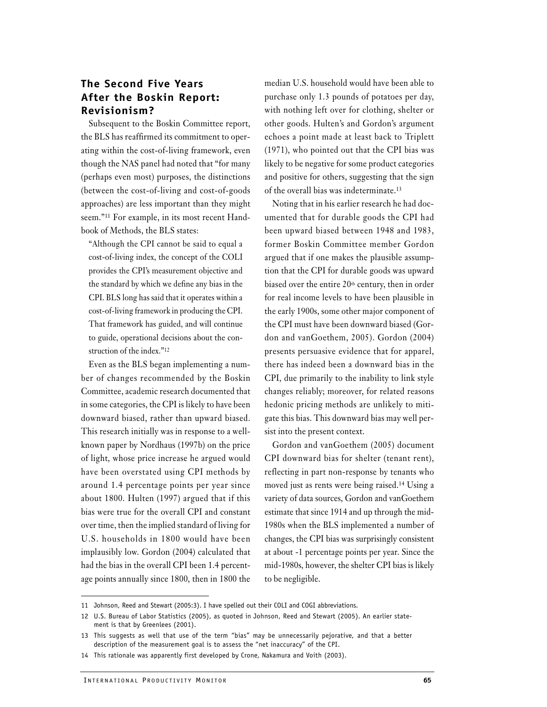## **The Second Five Years After the Boskin Report: Revisionism?**

Subsequent to the Boskin Committee report, the BLS has reaffirmed its commitment to operating within the cost-of-living framework, even though the NAS panel had noted that "for many (perhaps even most) purposes, the distinctions (between the cost-of-living and cost-of-goods approaches) are less important than they might seem."11 For example, in its most recent Handbook of Methods, the BLS states:

"Although the CPI cannot be said to equal a cost-of-living index, the concept of the COLI provides the CPI's measurement objective and the standard by which we define any bias in the CPI. BLS long has said that it operates within a cost-of-living framework in producing the CPI. That framework has guided, and will continue to guide, operational decisions about the construction of the index."12

Even as the BLS began implementing a number of changes recommended by the Boskin Committee, academic research documented that in some categories, the CPI is likely to have been downward biased, rather than upward biased. This research initially was in response to a wellknown paper by Nordhaus (1997b) on the price of light, whose price increase he argued would have been overstated using CPI methods by around 1.4 percentage points per year since about 1800. Hulten (1997) argued that if this bias were true for the overall CPI and constant over time, then the implied standard of living for U.S. households in 1800 would have been implausibly low. Gordon (2004) calculated that had the bias in the overall CPI been 1.4 percentage points annually since 1800, then in 1800 the median U.S. household would have been able to purchase only 1.3 pounds of potatoes per day, with nothing left over for clothing, shelter or other goods. Hulten's and Gordon's argument echoes a point made at least back to Triplett (1971), who pointed out that the CPI bias was likely to be negative for some product categories and positive for others, suggesting that the sign of the overall bias was indeterminate.13

Noting that in his earlier research he had documented that for durable goods the CPI had been upward biased between 1948 and 1983, former Boskin Committee member Gordon argued that if one makes the plausible assumption that the CPI for durable goods was upward biased over the entire 20<sup>th</sup> century, then in order for real income levels to have been plausible in the early 1900s, some other major component of the CPI must have been downward biased (Gordon and vanGoethem, 2005). Gordon (2004) presents persuasive evidence that for apparel, there has indeed been a downward bias in the CPI, due primarily to the inability to link style changes reliably; moreover, for related reasons hedonic pricing methods are unlikely to mitigate this bias. This downward bias may well persist into the present context.

Gordon and vanGoethem (2005) document CPI downward bias for shelter (tenant rent), reflecting in part non-response by tenants who moved just as rents were being raised.14 Using a variety of data sources, Gordon and vanGoethem estimate that since 1914 and up through the mid-1980s when the BLS implemented a number of changes, the CPI bias was surprisingly consistent at about -1 percentage points per year. Since the mid-1980s, however, the shelter CPI bias is likely to be negligible.

<sup>11</sup> Johnson, Reed and Stewart (2005:3). I have spelled out their COLI and COGI abbreviations.

<sup>12</sup> U.S. Bureau of Labor Statistics (2005), as quoted in Johnson, Reed and Stewart (2005). An earlier statement is that by Greenlees (2001).

<sup>13</sup> This suggests as well that use of the term "bias" may be unnecessarily pejorative, and that a better description of the measurement goal is to assess the "net inaccuracy" of the CPI.

<sup>14</sup> This rationale was apparently first developed by Crone, Nakamura and Voith (2003).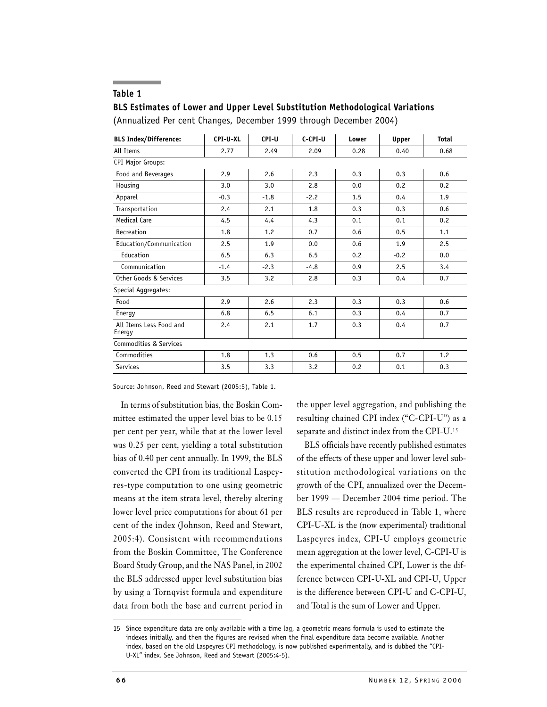#### **Table 1**

### **BLS Estimates of Lower and Upper Level Substitution Methodological Variations**

(Annualized Per cent Changes, December 1999 through December 2004)

| <b>BLS Index/Difference:</b>      | CPI-U-XL | CPI-U  | C-CPI-U | Lower | Upper  | <b>Total</b> |
|-----------------------------------|----------|--------|---------|-------|--------|--------------|
| All Items                         | 2.77     | 2.49   | 2.09    | 0.28  | 0.40   | 0.68         |
| <b>CPI Major Groups:</b>          |          |        |         |       |        |              |
| Food and Beverages                | 2.9      | 2.6    | 2.3     | 0.3   | 0.3    | 0.6          |
| Housing                           | 3.0      | 3.0    | 2.8     | 0.0   | 0.2    | 0.2          |
| Apparel                           | $-0.3$   | $-1.8$ | $-2.2$  | 1.5   | 0.4    | 1.9          |
| Transportation                    | 2.4      | 2.1    | 1.8     | 0.3   | 0.3    | 0.6          |
| Medical Care                      | 4.5      | 4.4    | 4.3     | 0.1   | 0.1    | 0.2          |
| Recreation                        | 1.8      | 1.2    | 0.7     | 0.6   | 0.5    | 1.1          |
| Education/Communication           | 2.5      | 1.9    | 0.0     | 0.6   | 1.9    | 2.5          |
| Education                         | 6.5      | 6.3    | 6.5     | 0.2   | $-0.2$ | 0.0          |
| Communication                     | $-1.4$   | $-2.3$ | $-4.8$  | 0.9   | 2.5    | 3.4          |
| Other Goods & Services            | 3.5      | 3.2    | 2.8     | 0.3   | 0.4    | 0.7          |
| Special Aggregates:               |          |        |         |       |        |              |
| Food                              | 2.9      | 2.6    | 2.3     | 0.3   | 0.3    | 0.6          |
| Energy                            | 6.8      | 6.5    | 6.1     | 0.3   | 0.4    | 0.7          |
| All Items Less Food and<br>Energy | 2.4      | 2.1    | 1.7     | 0.3   | 0.4    | 0.7          |
| Commodities & Services            |          |        |         |       |        |              |
| Commodities                       | 1.8      | 1.3    | 0.6     | 0.5   | 0.7    | 1.2          |
| <b>Services</b>                   | 3.5      | 3.3    | 3.2     | 0.2   | 0.1    | 0.3          |

Source: Johnson, Reed and Stewart (2005:5), Table 1.

In terms of substitution bias, the Boskin Committee estimated the upper level bias to be 0.15 per cent per year, while that at the lower level was 0.25 per cent, yielding a total substitution bias of 0.40 per cent annually. In 1999, the BLS converted the CPI from its traditional Laspeyres-type computation to one using geometric means at the item strata level, thereby altering lower level price computations for about 61 per cent of the index (Johnson, Reed and Stewart, 2005:4). Consistent with recommendations from the Boskin Committee, The Conference Board Study Group, and the NAS Panel, in 2002 the BLS addressed upper level substitution bias by using a Tornqvist formula and expenditure data from both the base and current period in

the upper level aggregation, and publishing the resulting chained CPI index ("C-CPI-U") as a separate and distinct index from the CPI-U.15

BLS officials have recently published estimates of the effects of these upper and lower level substitution methodological variations on the growth of the CPI, annualized over the December 1999 — December 2004 time period. The BLS results are reproduced in Table 1, where CPI-U-XL is the (now experimental) traditional Laspeyres index, CPI-U employs geometric mean aggregation at the lower level, C-CPI-U is the experimental chained CPI, Lower is the difference between CPI-U-XL and CPI-U, Upper is the difference between CPI-U and C-CPI-U, and Total is the sum of Lower and Upper.

<sup>15</sup> Since expenditure data are only available with a time lag, a geometric means formula is used to estimate the indexes initially, and then the figures are revised when the final expenditure data become available. Another index, based on the old Laspeyres CPI methodology, is now published experimentally, and is dubbed the "CPI-U-XL" index. See Johnson, Reed and Stewart (2005:4-5).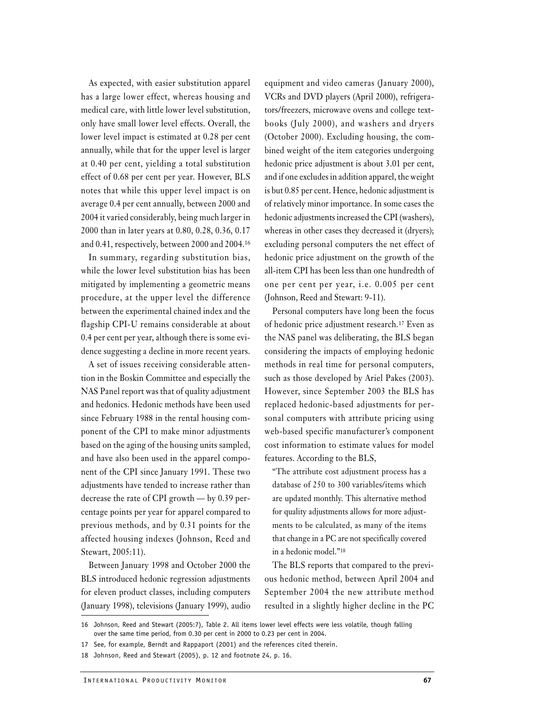As expected, with easier substitution apparel has a large lower effect, whereas housing and medical care, with little lower level substitution, only have small lower level effects. Overall, the lower level impact is estimated at 0.28 per cent annually, while that for the upper level is larger at 0.40 per cent, yielding a total substitution effect of 0.68 per cent per year. However, BLS notes that while this upper level impact is on average 0.4 per cent annually, between 2000 and 2004 it varied considerably, being much larger in 2000 than in later years at 0.80, 0.28, 0.36, 0.17 and 0.41, respectively, between 2000 and 2004.16

In summary, regarding substitution bias, while the lower level substitution bias has been mitigated by implementing a geometric means procedure, at the upper level the difference between the experimental chained index and the flagship CPI-U remains considerable at about 0.4 per cent per year, although there is some evidence suggesting a decline in more recent years.

A set of issues receiving considerable attention in the Boskin Committee and especially the NAS Panel report was that of quality adjustment and hedonics. Hedonic methods have been used since February 1988 in the rental housing component of the CPI to make minor adjustments based on the aging of the housing units sampled, and have also been used in the apparel component of the CPI since January 1991. These two adjustments have tended to increase rather than decrease the rate of CPI growth — by 0.39 percentage points per year for apparel compared to previous methods, and by 0.31 points for the affected housing indexes (Johnson, Reed and Stewart, 2005:11).

Between January 1998 and October 2000 the BLS introduced hedonic regression adjustments for eleven product classes, including computers (January 1998), televisions (January 1999), audio equipment and video cameras (January 2000), VCRs and DVD players (April 2000), refrigerators/freezers, microwave ovens and college textbooks (July 2000), and washers and dryers (October 2000). Excluding housing, the combined weight of the item categories undergoing hedonic price adjustment is about 3.01 per cent, and if one excludes in addition apparel, the weight is but 0.85 per cent. Hence, hedonic adjustment is of relatively minor importance. In some cases the hedonic adjustments increased the CPI (washers), whereas in other cases they decreased it (dryers); excluding personal computers the net effect of hedonic price adjustment on the growth of the all-item CPI has been less than one hundredth of one per cent per year, i.e. 0.005 per cent (Johnson, Reed and Stewart: 9-11).

Personal computers have long been the focus of hedonic price adjustment research.17 Even as the NAS panel was deliberating, the BLS began considering the impacts of employing hedonic methods in real time for personal computers, such as those developed by Ariel Pakes (2003). However, since September 2003 the BLS has replaced hedonic-based adjustments for personal computers with attribute pricing using web-based specific manufacturer's component cost information to estimate values for model features. According to the BLS,

"The attribute cost adjustment process has a database of 250 to 300 variables/items which are updated monthly. This alternative method for quality adjustments allows for more adjustments to be calculated, as many of the items that change in a PC are not specifically covered in a hedonic model."18

The BLS reports that compared to the previous hedonic method, between April 2004 and September 2004 the new attribute method resulted in a slightly higher decline in the PC

<sup>16</sup> Johnson, Reed and Stewart (2005:7), Table 2. All items lower level effects were less volatile, though falling over the same time period, from 0.30 per cent in 2000 to 0.23 per cent in 2004.

<sup>17</sup> See, for example, Berndt and Rappaport (2001) and the references cited therein.

<sup>18</sup> Johnson, Reed and Stewart (2005), p. 12 and footnote 24, p. 16.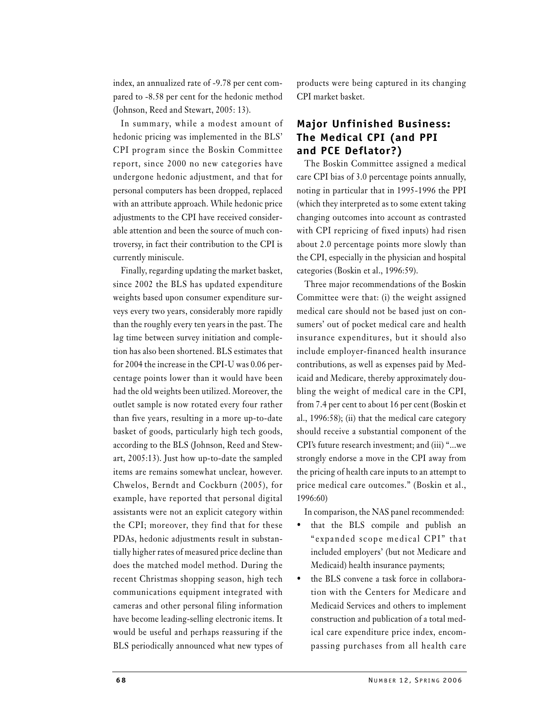index, an annualized rate of -9.78 per cent compared to -8.58 per cent for the hedonic method (Johnson, Reed and Stewart, 2005: 13).

In summary, while a modest amount of hedonic pricing was implemented in the BLS' CPI program since the Boskin Committee report, since 2000 no new categories have undergone hedonic adjustment, and that for personal computers has been dropped, replaced with an attribute approach. While hedonic price adjustments to the CPI have received considerable attention and been the source of much controversy, in fact their contribution to the CPI is currently miniscule.

Finally, regarding updating the market basket, since 2002 the BLS has updated expenditure weights based upon consumer expenditure surveys every two years, considerably more rapidly than the roughly every ten years in the past. The lag time between survey initiation and completion has also been shortened. BLS estimates that for 2004 the increase in the CPI-U was 0.06 percentage points lower than it would have been had the old weights been utilized. Moreover, the outlet sample is now rotated every four rather than five years, resulting in a more up-to-date basket of goods, particularly high tech goods, according to the BLS (Johnson, Reed and Stewart, 2005:13). Just how up-to-date the sampled items are remains somewhat unclear, however. Chwelos, Berndt and Cockburn (2005), for example, have reported that personal digital assistants were not an explicit category within the CPI; moreover, they find that for these PDAs, hedonic adjustments result in substantially higher rates of measured price decline than does the matched model method. During the recent Christmas shopping season, high tech communications equipment integrated with cameras and other personal filing information have become leading-selling electronic items. It would be useful and perhaps reassuring if the BLS periodically announced what new types of products were being captured in its changing CPI market basket.

## **Major Unfinished Business: The Medical CPI (and PPI and PCE Deflator?)**

The Boskin Committee assigned a medical care CPI bias of 3.0 percentage points annually, noting in particular that in 1995-1996 the PPI (which they interpreted as to some extent taking changing outcomes into account as contrasted with CPI repricing of fixed inputs) had risen about 2.0 percentage points more slowly than the CPI, especially in the physician and hospital categories (Boskin et al., 1996:59).

Three major recommendations of the Boskin Committee were that: (i) the weight assigned medical care should not be based just on consumers' out of pocket medical care and health insurance expenditures, but it should also include employer-financed health insurance contributions, as well as expenses paid by Medicaid and Medicare, thereby approximately doubling the weight of medical care in the CPI, from 7.4 per cent to about 16 per cent (Boskin et al., 1996:58); (ii) that the medical care category should receive a substantial component of the CPI's future research investment; and (iii) "...we strongly endorse a move in the CPI away from the pricing of health care inputs to an attempt to price medical care outcomes." (Boskin et al., 1996:60)

In comparison, the NAS panel recommended:

- that the BLS compile and publish an "expanded scope medical CPI" that included employers' (but not Medicare and Medicaid) health insurance payments;
- the BLS convene a task force in collaboration with the Centers for Medicare and Medicaid Services and others to implement construction and publication of a total medical care expenditure price index, encompassing purchases from all health care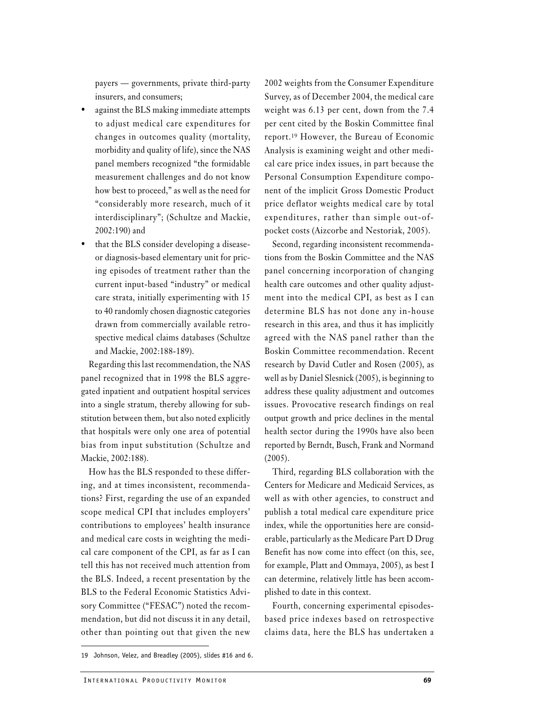payers — governments, private third-party insurers, and consumers;

- against the BLS making immediate attempts to adjust medical care expenditures for changes in outcomes quality (mortality, morbidity and quality of life), since the NAS panel members recognized "the formidable measurement challenges and do not know how best to proceed," as well as the need for "considerably more research, much of it interdisciplinary"; (Schultze and Mackie, 2002:190) and
- that the BLS consider developing a diseaseor diagnosis-based elementary unit for pricing episodes of treatment rather than the current input-based "industry" or medical care strata, initially experimenting with 15 to 40 randomly chosen diagnostic categories drawn from commercially available retrospective medical claims databases (Schultze and Mackie, 2002:188-189).

Regarding this last recommendation, the NAS panel recognized that in 1998 the BLS aggregated inpatient and outpatient hospital services into a single stratum, thereby allowing for substitution between them, but also noted explicitly that hospitals were only one area of potential bias from input substitution (Schultze and Mackie, 2002:188).

How has the BLS responded to these differing, and at times inconsistent, recommendations? First, regarding the use of an expanded scope medical CPI that includes employers' contributions to employees' health insurance and medical care costs in weighting the medical care component of the CPI, as far as I can tell this has not received much attention from the BLS. Indeed, a recent presentation by the BLS to the Federal Economic Statistics Advisory Committee ("FESAC") noted the recommendation, but did not discuss it in any detail, other than pointing out that given the new

2002 weights from the Consumer Expenditure Survey, as of December 2004, the medical care weight was 6.13 per cent, down from the 7.4 per cent cited by the Boskin Committee final report.19 However, the Bureau of Economic Analysis is examining weight and other medical care price index issues, in part because the Personal Consumption Expenditure component of the implicit Gross Domestic Product price deflator weights medical care by total expenditures, rather than simple out-ofpocket costs (Aizcorbe and Nestoriak, 2005).

Second, regarding inconsistent recommendations from the Boskin Committee and the NAS panel concerning incorporation of changing health care outcomes and other quality adjustment into the medical CPI, as best as I can determine BLS has not done any in-house research in this area, and thus it has implicitly agreed with the NAS panel rather than the Boskin Committee recommendation. Recent research by David Cutler and Rosen (2005), as well as by Daniel Slesnick (2005), is beginning to address these quality adjustment and outcomes issues. Provocative research findings on real output growth and price declines in the mental health sector during the 1990s have also been reported by Berndt, Busch, Frank and Normand (2005).

Third, regarding BLS collaboration with the Centers for Medicare and Medicaid Services, as well as with other agencies, to construct and publish a total medical care expenditure price index, while the opportunities here are considerable, particularly as the Medicare Part D Drug Benefit has now come into effect (on this, see, for example, Platt and Ommaya, 2005), as best I can determine, relatively little has been accomplished to date in this context.

Fourth, concerning experimental episodesbased price indexes based on retrospective claims data, here the BLS has undertaken a

<sup>19</sup> Johnson, Velez, and Breadley (2005), slides #16 and 6.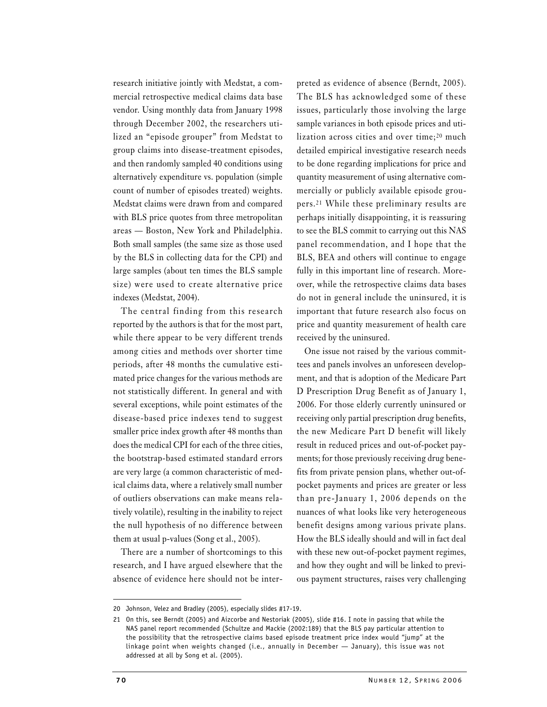research initiative jointly with Medstat, a commercial retrospective medical claims data base vendor. Using monthly data from January 1998 through December 2002, the researchers utilized an "episode grouper" from Medstat to group claims into disease-treatment episodes, and then randomly sampled 40 conditions using alternatively expenditure vs. population (simple count of number of episodes treated) weights. Medstat claims were drawn from and compared with BLS price quotes from three metropolitan areas — Boston, New York and Philadelphia. Both small samples (the same size as those used by the BLS in collecting data for the CPI) and large samples (about ten times the BLS sample size) were used to create alternative price indexes (Medstat, 2004).

The central finding from this research reported by the authors is that for the most part, while there appear to be very different trends among cities and methods over shorter time periods, after 48 months the cumulative estimated price changes for the various methods are not statistically different. In general and with several exceptions, while point estimates of the disease-based price indexes tend to suggest smaller price index growth after 48 months than does the medical CPI for each of the three cities, the bootstrap-based estimated standard errors are very large (a common characteristic of medical claims data, where a relatively small number of outliers observations can make means relatively volatile), resulting in the inability to reject the null hypothesis of no difference between them at usual p-values (Song et al., 2005).

There are a number of shortcomings to this research, and I have argued elsewhere that the absence of evidence here should not be inter-

preted as evidence of absence (Berndt, 2005). The BLS has acknowledged some of these issues, particularly those involving the large sample variances in both episode prices and utilization across cities and over time;<sup>20</sup> much detailed empirical investigative research needs to be done regarding implications for price and quantity measurement of using alternative commercially or publicly available episode groupers.21 While these preliminary results are perhaps initially disappointing, it is reassuring to see the BLS commit to carrying out this NAS panel recommendation, and I hope that the BLS, BEA and others will continue to engage fully in this important line of research. Moreover, while the retrospective claims data bases do not in general include the uninsured, it is important that future research also focus on price and quantity measurement of health care received by the uninsured.

One issue not raised by the various committees and panels involves an unforeseen development, and that is adoption of the Medicare Part D Prescription Drug Benefit as of January 1, 2006. For those elderly currently uninsured or receiving only partial prescription drug benefits, the new Medicare Part D benefit will likely result in reduced prices and out-of-pocket payments; for those previously receiving drug benefits from private pension plans, whether out-ofpocket payments and prices are greater or less than pre-January 1, 2006 depends on the nuances of what looks like very heterogeneous benefit designs among various private plans. How the BLS ideally should and will in fact deal with these new out-of-pocket payment regimes, and how they ought and will be linked to previous payment structures, raises very challenging

<sup>20</sup> Johnson, Velez and Bradley (2005), especially slides #17-19.

<sup>21</sup> On this, see Berndt (2005) and Aizcorbe and Nestoriak (2005), slide #16. I note in passing that while the NAS panel report recommended (Schultze and Mackie (2002:189) that the BLS pay particular attention to the possibility that the retrospective claims based episode treatment price index would "jump" at the linkage point when weights changed (i.e., annually in December — January), this issue was not addressed at all by Song et al. (2005).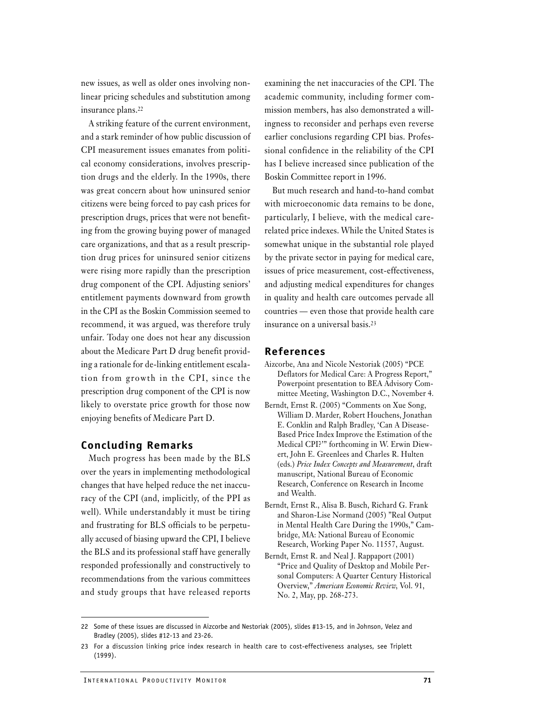new issues, as well as older ones involving nonlinear pricing schedules and substitution among insurance plans.22

A striking feature of the current environment, and a stark reminder of how public discussion of CPI measurement issues emanates from political economy considerations, involves prescription drugs and the elderly. In the 1990s, there was great concern about how uninsured senior citizens were being forced to pay cash prices for prescription drugs, prices that were not benefiting from the growing buying power of managed care organizations, and that as a result prescription drug prices for uninsured senior citizens were rising more rapidly than the prescription drug component of the CPI. Adjusting seniors' entitlement payments downward from growth in the CPI as the Boskin Commission seemed to recommend, it was argued, was therefore truly unfair. Today one does not hear any discussion about the Medicare Part D drug benefit providing a rationale for de-linking entitlement escalation from growth in the CPI, since the prescription drug component of the CPI is now likely to overstate price growth for those now enjoying benefits of Medicare Part D.

#### **Concluding Remarks**

Much progress has been made by the BLS over the years in implementing methodological changes that have helped reduce the net inaccuracy of the CPI (and, implicitly, of the PPI as well). While understandably it must be tiring and frustrating for BLS officials to be perpetually accused of biasing upward the CPI, I believe the BLS and its professional staff have generally responded professionally and constructively to recommendations from the various committees and study groups that have released reports

examining the net inaccuracies of the CPI. The academic community, including former commission members, has also demonstrated a willingness to reconsider and perhaps even reverse earlier conclusions regarding CPI bias. Professional confidence in the reliability of the CPI has I believe increased since publication of the Boskin Committee report in 1996.

But much research and hand-to-hand combat with microeconomic data remains to be done, particularly, I believe, with the medical carerelated price indexes. While the United States is somewhat unique in the substantial role played by the private sector in paying for medical care, issues of price measurement, cost-effectiveness, and adjusting medical expenditures for changes in quality and health care outcomes pervade all countries — even those that provide health care insurance on a universal basis.23

### **References**

- Aizcorbe, Ana and Nicole Nestoriak (2005) "PCE Deflators for Medical Care: A Progress Report," Powerpoint presentation to BEA Advisory Committee Meeting, Washington D.C., November 4.
- Berndt, Ernst R. (2005) "Comments on Xue Song, William D. Marder, Robert Houchens, Jonathan E. Conklin and Ralph Bradley, 'Can A Disease-Based Price Index Improve the Estimation of the Medical CPI?'" forthcoming in W. Erwin Diewert, John E. Greenlees and Charles R. Hulten (eds.) *Price Index Concepts and Measurement*, draft manuscript, National Bureau of Economic Research, Conference on Research in Income and Wealth.
- Berndt, Ernst R., Alisa B. Busch, Richard G. Frank and Sharon-Lise Normand (2005) "Real Output in Mental Health Care During the 1990s," Cambridge, MA: National Bureau of Economic Research, Working Paper No. 11557, August.
- Berndt, Ernst R. and Neal J. Rappaport (2001) "Price and Quality of Desktop and Mobile Personal Computers: A Quarter Century Historical Overview," *American Economic Review*, Vol. 91, No. 2, May, pp. 268-273.

<sup>22</sup> Some of these issues are discussed in Aizcorbe and Nestoriak (2005), slides #13-15, and in Johnson, Velez and Bradley (2005), slides #12-13 and 23-26.

<sup>23</sup> For a discussion linking price index research in health care to cost-effectiveness analyses, see Triplett (1999).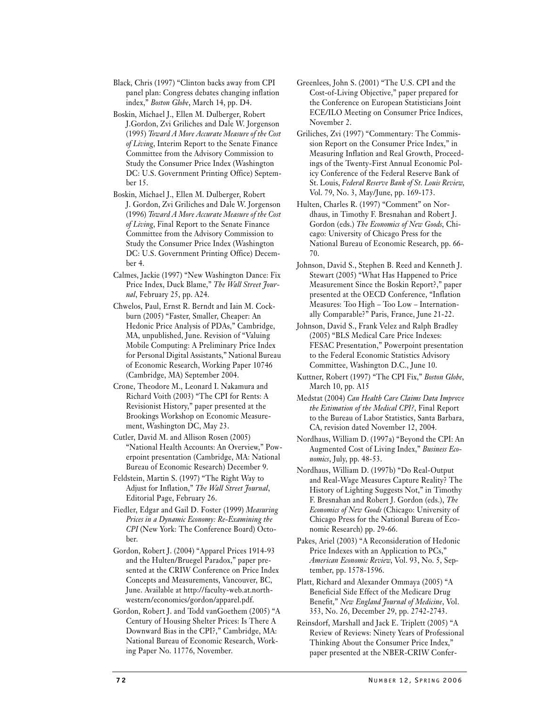Black, Chris (1997) "Clinton backs away from CPI panel plan: Congress debates changing inflation index," *Boston Globe*, March 14, pp. D4.

Boskin, Michael J., Ellen M. Dulberger, Robert J.Gordon, Zvi Griliches and Dale W. Jorgenson (1995) *Toward A More Accurate Measure of the Cost of Living*, Interim Report to the Senate Finance Committee from the Advisory Commission to Study the Consumer Price Index (Washington DC: U.S. Government Printing Office) September 15.

Boskin, Michael J., Ellen M. Dulberger, Robert J. Gordon, Zvi Griliches and Dale W. Jorgenson (1996) *Toward A More Accurate Measure of the Cost of Living*, Final Report to the Senate Finance Committee from the Advisory Commission to Study the Consumer Price Index (Washington DC: U.S. Government Printing Office) December 4.

- Calmes, Jackie (1997) "New Washington Dance: Fix Price Index, Duck Blame," *The Wall Street Journal*, February 25, pp. A24.
- Chwelos, Paul, Ernst R. Berndt and Iain M. Cockburn (2005) "Faster, Smaller, Cheaper: An Hedonic Price Analysis of PDAs," Cambridge, MA, unpublished, June. Revision of "Valuing Mobile Computing: A Preliminary Price Index for Personal Digital Assistants," National Bureau of Economic Research, Working Paper 10746 (Cambridge, MA) September 2004.
- Crone, Theodore M., Leonard I. Nakamura and Richard Voith (2003) "The CPI for Rents: A Revisionist History," paper presented at the Brookings Workshop on Economic Measurement, Washington DC, May 23.
- Cutler, David M. and Allison Rosen (2005) "National Health Accounts: An Overview," Powerpoint presentation (Cambridge, MA: National Bureau of Economic Research) December 9.
- Feldstein, Martin S. (1997) "The Right Way to Adjust for Inflation," *The Wall Street Journal*, Editorial Page, February 26.
- Fiedler, Edgar and Gail D. Foster (1999) *Measuring Prices in a Dynamic Economy: Re-Examining the CPI* (New York: The Conference Board) October.
- Gordon, Robert J. (2004) "Apparel Prices 1914-93 and the Hulten/Bruegel Paradox," paper presented at the CRIW Conference on Price Index Concepts and Measurements, Vancouver, BC, June. Available at http://faculty-web.at.northwestern/economics/gordon/apparel.pdf.
- Gordon, Robert J. and Todd vanGoethem (2005) "A Century of Housing Shelter Prices: Is There A Downward Bias in the CPI?," Cambridge, MA: National Bureau of Economic Research, Working Paper No. 11776, November.
- Greenlees, John S. (2001) "The U.S. CPI and the Cost-of-Living Objective," paper prepared for the Conference on European Statisticians Joint ECE/ILO Meeting on Consumer Price Indices, November 2.
- Griliches, Zvi (1997) "Commentary: The Commission Report on the Consumer Price Index," in Measuring Inflation and Real Growth, Proceedings of the Twenty-First Annual Economic Policy Conference of the Federal Reserve Bank of St. Louis, *Federal Reserve Bank of St. Louis Review*, Vol. 79, No. 3, May/June, pp. 169-173.

Hulten, Charles R. (1997) "Comment" on Nordhaus, in Timothy F. Bresnahan and Robert J. Gordon (eds.) *The Economics of New Goods*, Chicago: University of Chicago Press for the National Bureau of Economic Research, pp. 66- 70.

- Johnson, David S., Stephen B. Reed and Kenneth J. Stewart (2005) "What Has Happened to Price Measurement Since the Boskin Report?," paper presented at the OECD Conference, "Inflation Measures: Too High – Too Low – Internationally Comparable?" Paris, France, June 21-22.
- Johnson, David S., Frank Velez and Ralph Bradley (2005) "BLS Medical Care Price Indexes: FESAC Presentation," Powerpoint presentation to the Federal Economic Statistics Advisory Committee, Washington D.C., June 10.
- Kuttner, Robert (1997) "The CPI Fix," *Boston Globe*, March 10, pp. A15
- Medstat (2004) *Can Health Care Claims Data Improve the Estimation of the Medical CPI?*, Final Report to the Bureau of Labor Statistics, Santa Barbara, CA, revision dated November 12, 2004.
- Nordhaus, William D. (1997a) "Beyond the CPI: An Augmented Cost of Living Index," *Business Economics*, July, pp. 48-53.
- Nordhaus, William D. (1997b) "Do Real-Output and Real-Wage Measures Capture Reality? The History of Lighting Suggests Not," in Timothy F. Bresnahan and Robert J. Gordon (eds.), *The Economics of New Goods* (Chicago: University of Chicago Press for the National Bureau of Economic Research) pp. 29-66.
- Pakes, Ariel (2003) "A Reconsideration of Hedonic Price Indexes with an Application to PCs," *American Economic Review*, Vol. 93, No. 5, September, pp. 1578-1596.
- Platt, Richard and Alexander Ommaya (2005) "A Beneficial Side Effect of the Medicare Drug Benefit," *New England Journal of Medicine*, Vol. 353, No. 26, December 29, pp. 2742-2743.

Reinsdorf, Marshall and Jack E. Triplett (2005) "A Review of Reviews: Ninety Years of Professional Thinking About the Consumer Price Index," paper presented at the NBER-CRIW Confer